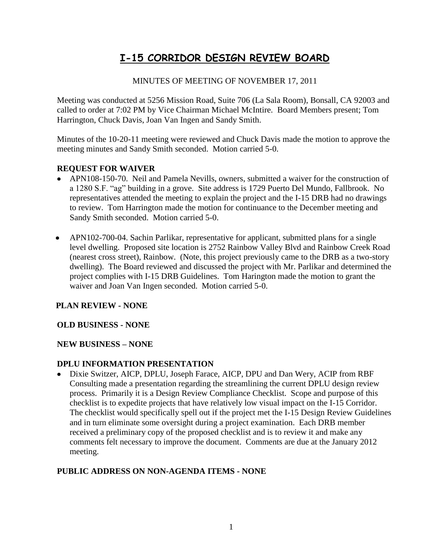# **I-15 CORRIDOR DESIGN REVIEW BOARD**

# MINUTES OF MEETING OF NOVEMBER 17, 2011

Meeting was conducted at 5256 Mission Road, Suite 706 (La Sala Room), Bonsall, CA 92003 and called to order at 7:02 PM by Vice Chairman Michael McIntire. Board Members present; Tom Harrington, Chuck Davis, Joan Van Ingen and Sandy Smith.

Minutes of the 10-20-11 meeting were reviewed and Chuck Davis made the motion to approve the meeting minutes and Sandy Smith seconded. Motion carried 5-0.

# **REQUEST FOR WAIVER**

- APN108-150-70. Neil and Pamela Nevills, owners, submitted a waiver for the construction of a 1280 S.F. "ag" building in a grove. Site address is 1729 Puerto Del Mundo, Fallbrook. No representatives attended the meeting to explain the project and the I-15 DRB had no drawings to review. Tom Harrington made the motion for continuance to the December meeting and Sandy Smith seconded. Motion carried 5-0.
- APN102-700-04. Sachin Parlikar, representative for applicant, submitted plans for a single level dwelling. Proposed site location is 2752 Rainbow Valley Blvd and Rainbow Creek Road (nearest cross street), Rainbow. (Note, this project previously came to the DRB as a two-story dwelling). The Board reviewed and discussed the project with Mr. Parlikar and determined the project complies with I-15 DRB Guidelines. Tom Harington made the motion to grant the waiver and Joan Van Ingen seconded. Motion carried 5-0.

#### **PLAN REVIEW - NONE**

#### **OLD BUSINESS - NONE**

#### **NEW BUSINESS – NONE**

#### **DPLU INFORMATION PRESENTATION**

Dixie Switzer, AICP, DPLU, Joseph Farace, AICP, DPU and Dan Wery, ACIP from RBF Consulting made a presentation regarding the streamlining the current DPLU design review process. Primarily it is a Design Review Compliance Checklist. Scope and purpose of this checklist is to expedite projects that have relatively low visual impact on the I-15 Corridor. The checklist would specifically spell out if the project met the I-15 Design Review Guidelines and in turn eliminate some oversight during a project examination. Each DRB member received a preliminary copy of the proposed checklist and is to review it and make any comments felt necessary to improve the document. Comments are due at the January 2012 meeting.

# **PUBLIC ADDRESS ON NON-AGENDA ITEMS - NONE**